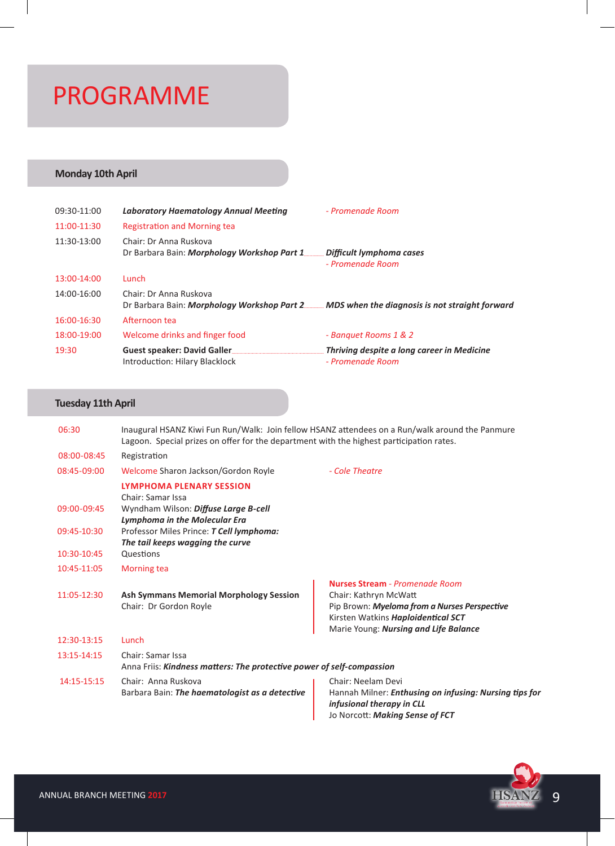# PROGRAMME

# **Monday 10th April**

| 09:30-11:00 | Laboratory Haematology Annual Meeting                                                                                | - Promenade Room                                               |
|-------------|----------------------------------------------------------------------------------------------------------------------|----------------------------------------------------------------|
| 11:00-11:30 | <b>Registration and Morning tea</b>                                                                                  |                                                                |
| 11:30-13:00 | Chair: Dr Anna Ruskova<br>Dr Barbara Bain: <i>Morphology Workshop Part 1</i>                                         | . Difficult lymphoma cases<br>- Promenade Room                 |
| 13:00-14:00 | Lunch                                                                                                                |                                                                |
| 14:00-16:00 | Chair: Dr Anna Ruskova<br>Dr Barbara Bain: Morphology Workshop Part 2 MDS when the diagnosis is not straight forward |                                                                |
| 16:00-16:30 | Afternoon tea                                                                                                        |                                                                |
| 18:00-19:00 | Welcome drinks and finger food                                                                                       | - Banquet Rooms 1 & 2                                          |
| 19:30       | Guest speaker: David Galler<br>Introduction: Hilary Blacklock                                                        | Thriving despite a long career in Medicine<br>- Promenade Room |

## **Tuesday 11th April**

| 06:30       | Inaugural HSANZ Kiwi Fun Run/Walk: Join fellow HSANZ attendees on a Run/walk around the Panmure<br>Lagoon. Special prizes on offer for the department with the highest participation rates. |                                                                                                                                                                                               |  |
|-------------|---------------------------------------------------------------------------------------------------------------------------------------------------------------------------------------------|-----------------------------------------------------------------------------------------------------------------------------------------------------------------------------------------------|--|
| 08:00-08:45 | Registration                                                                                                                                                                                |                                                                                                                                                                                               |  |
| 08:45-09:00 | Welcome Sharon Jackson/Gordon Royle                                                                                                                                                         | - Cole Theatre                                                                                                                                                                                |  |
|             | <b>LYMPHOMA PLENARY SESSION</b><br>Chair: Samar Issa                                                                                                                                        |                                                                                                                                                                                               |  |
| 09:00-09:45 | Wyndham Wilson: Diffuse Large B-cell<br><b>Lymphoma in the Molecular Era</b>                                                                                                                |                                                                                                                                                                                               |  |
| 09:45-10:30 | Professor Miles Prince: T Cell lymphoma:<br>The tail keeps wagging the curve                                                                                                                |                                                                                                                                                                                               |  |
| 10:30-10:45 | Questions                                                                                                                                                                                   |                                                                                                                                                                                               |  |
| 10:45-11:05 | <b>Morning tea</b>                                                                                                                                                                          |                                                                                                                                                                                               |  |
| 11:05-12:30 | <b>Ash Symmans Memorial Morphology Session</b><br>Chair: Dr Gordon Royle                                                                                                                    | <b>Nurses Stream - Promenade Room</b><br>Chair: Kathryn McWatt<br>Pip Brown: Myeloma from a Nurses Perspective<br>Kirsten Watkins Haploidentical SCT<br>Marie Young: Nursing and Life Balance |  |
| 12:30-13:15 | Lunch                                                                                                                                                                                       |                                                                                                                                                                                               |  |
| 13:15-14:15 | Chair: Samar Issa<br>Anna Friis: Kindness matters: The protective power of self-compassion                                                                                                  |                                                                                                                                                                                               |  |
| 14:15-15:15 | Chair: Anna Ruskova<br>Barbara Bain: The haematologist as a detective                                                                                                                       | Chair: Neelam Devi<br>Hannah Milner: Enthusing on infusing: Nursing tips for<br>infusional therapy in CLL<br>Jo Norcott: Making Sense of FCT                                                  |  |